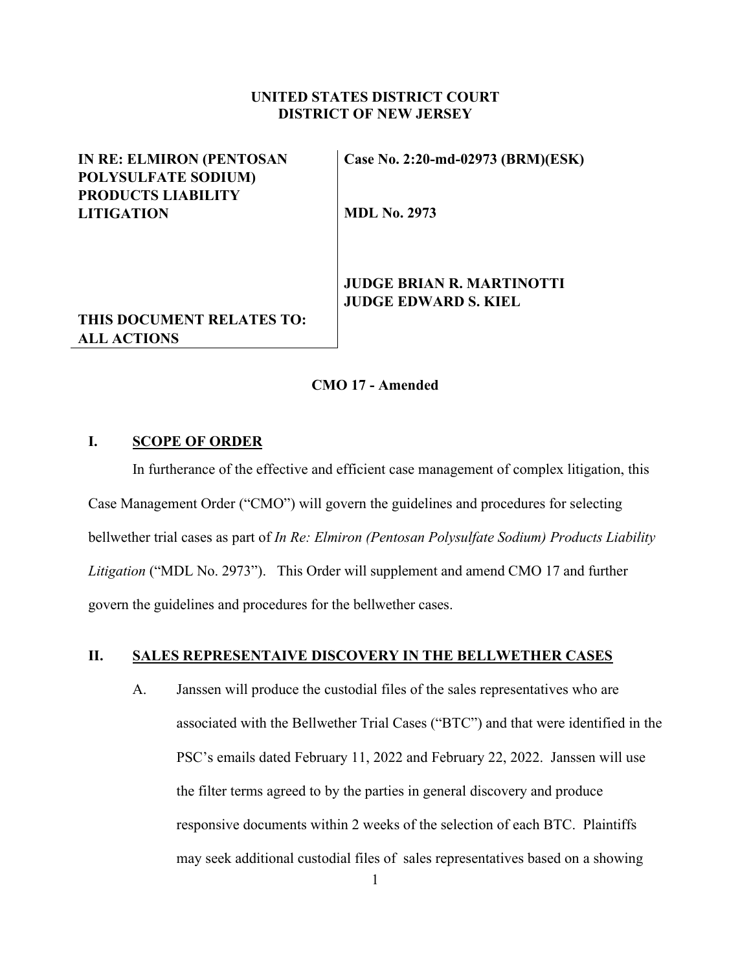### **UNITED STATES DISTRICT COURT DISTRICT OF NEW JERSEY**

## **IN RE: ELMIRON (PENTOSAN POLYSULFATE SODIUM) PRODUCTS LIABILITY LITIGATION**

**Case No. 2:20-md-02973 (BRM)(ESK)** 

**MDL No. 2973** 

## **JUDGE BRIAN R. MARTINOTTI JUDGE EDWARD S. KIEL**

# **THIS DOCUMENT RELATES TO: ALL ACTIONS**

#### **CMO 17 - Amended**

### **I. SCOPE OF ORDER**

In furtherance of the effective and efficient case management of complex litigation, this Case Management Order ("CMO") will govern the guidelines and procedures for selecting bellwether trial cases as part of *In Re: Elmiron (Pentosan Polysulfate Sodium) Products Liability Litigation* ("MDL No. 2973"). This Order will supplement and amend CMO 17 and further govern the guidelines and procedures for the bellwether cases.

### **II. SALES REPRESENTAIVE DISCOVERY IN THE BELLWETHER CASES**

A. Janssen will produce the custodial files of the sales representatives who are associated with the Bellwether Trial Cases ("BTC") and that were identified in the PSC's emails dated February 11, 2022 and February 22, 2022. Janssen will use the filter terms agreed to by the parties in general discovery and produce responsive documents within 2 weeks of the selection of each BTC. Plaintiffs may seek additional custodial files of sales representatives based on a showing

1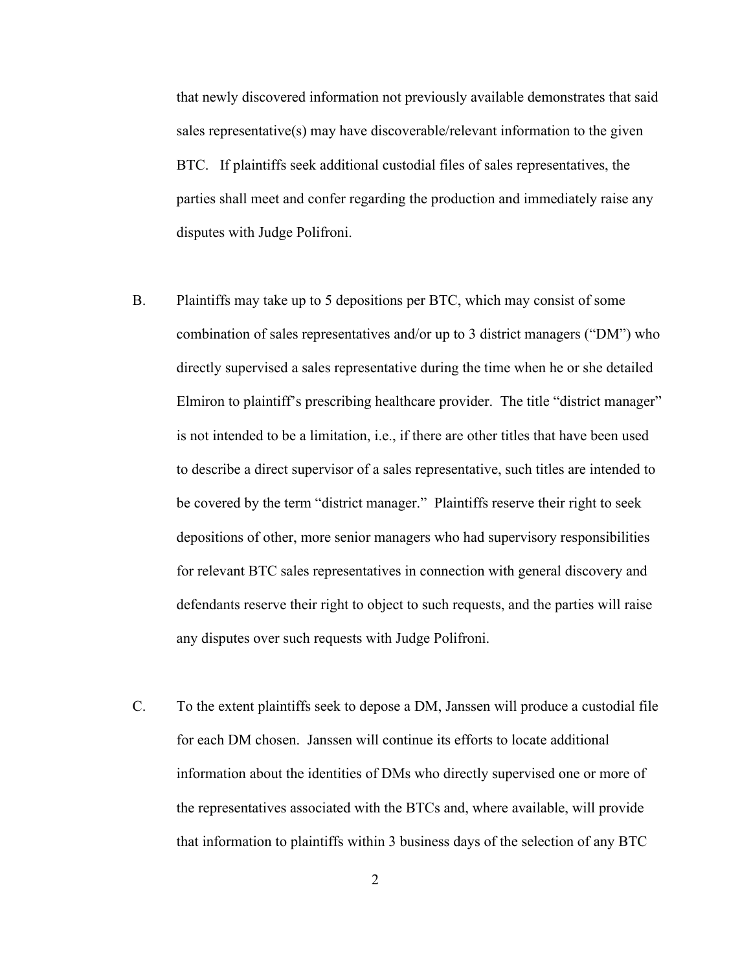that newly discovered information not previously available demonstrates that said sales representative(s) may have discoverable/relevant information to the given BTC. If plaintiffs seek additional custodial files of sales representatives, the parties shall meet and confer regarding the production and immediately raise any disputes with Judge Polifroni.

- B. Plaintiffs may take up to 5 depositions per BTC, which may consist of some combination of sales representatives and/or up to 3 district managers ("DM") who directly supervised a sales representative during the time when he or she detailed Elmiron to plaintiff's prescribing healthcare provider. The title "district manager" is not intended to be a limitation, i.e., if there are other titles that have been used to describe a direct supervisor of a sales representative, such titles are intended to be covered by the term "district manager." Plaintiffs reserve their right to seek depositions of other, more senior managers who had supervisory responsibilities for relevant BTC sales representatives in connection with general discovery and defendants reserve their right to object to such requests, and the parties will raise any disputes over such requests with Judge Polifroni.
- C. To the extent plaintiffs seek to depose a DM, Janssen will produce a custodial file for each DM chosen. Janssen will continue its efforts to locate additional information about the identities of DMs who directly supervised one or more of the representatives associated with the BTCs and, where available, will provide that information to plaintiffs within 3 business days of the selection of any BTC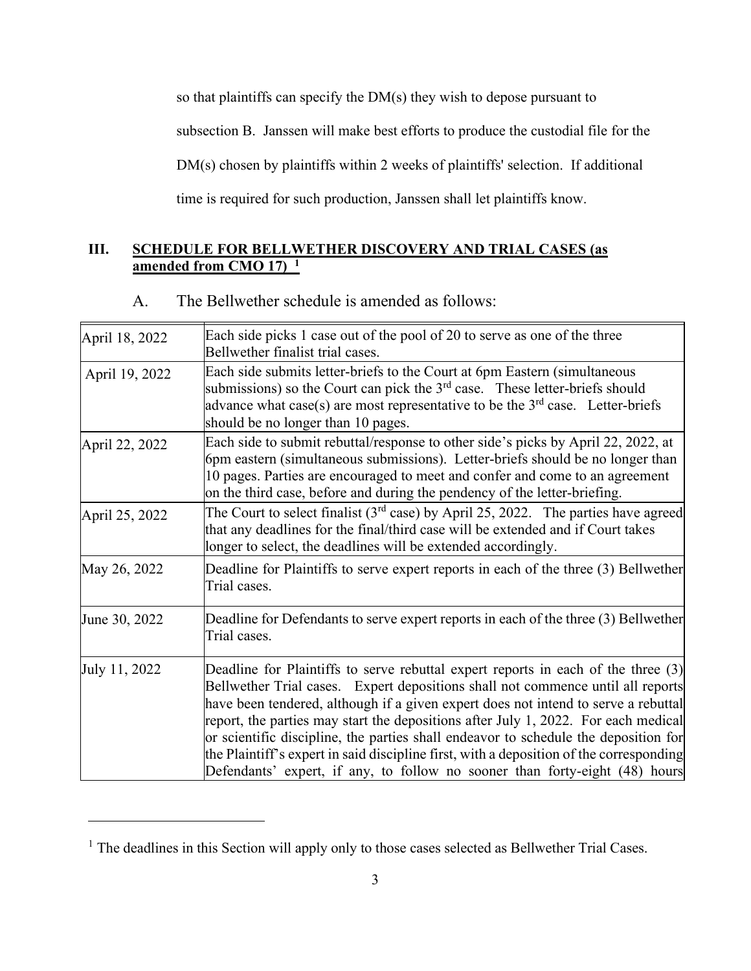so that plaintiffs can specify the DM(s) they wish to depose pursuant to subsection B. Janssen will make best efforts to produce the custodial file for the DM(s) chosen by plaintiffs within 2 weeks of plaintiffs' selection. If additional time is required for such production, Janssen shall let plaintiffs know.

# **III. SCHEDULE FOR BELLWETHER DISCOVERY AND TRIAL CASES (as amended from CMO 17) 1**

# A. The Bellwether schedule is amended as follows:

| April 18, 2022 | Each side picks 1 case out of the pool of 20 to serve as one of the three<br>Bellwether finalist trial cases.                                                                                                                                                                                                                                                                                                                                                                                                                                                                                                     |
|----------------|-------------------------------------------------------------------------------------------------------------------------------------------------------------------------------------------------------------------------------------------------------------------------------------------------------------------------------------------------------------------------------------------------------------------------------------------------------------------------------------------------------------------------------------------------------------------------------------------------------------------|
| April 19, 2022 | Each side submits letter-briefs to the Court at 6pm Eastern (simultaneous<br>submissions) so the Court can pick the $3rd$ case. These letter-briefs should<br>advance what case(s) are most representative to be the $3rd$ case. Letter-briefs<br>should be no longer than 10 pages.                                                                                                                                                                                                                                                                                                                              |
| April 22, 2022 | Each side to submit rebuttal/response to other side's picks by April 22, 2022, at<br>6pm eastern (simultaneous submissions). Letter-briefs should be no longer than<br>10 pages. Parties are encouraged to meet and confer and come to an agreement<br>on the third case, before and during the pendency of the letter-briefing.                                                                                                                                                                                                                                                                                  |
| April 25, 2022 | The Court to select finalist ( $3rd$ case) by April 25, 2022. The parties have agreed<br>that any deadlines for the final/third case will be extended and if Court takes<br>longer to select, the deadlines will be extended accordingly.                                                                                                                                                                                                                                                                                                                                                                         |
| May 26, 2022   | Deadline for Plaintiffs to serve expert reports in each of the three (3) Bellwether<br>Trial cases.                                                                                                                                                                                                                                                                                                                                                                                                                                                                                                               |
| June 30, 2022  | Deadline for Defendants to serve expert reports in each of the three (3) Bellwether<br>Trial cases.                                                                                                                                                                                                                                                                                                                                                                                                                                                                                                               |
| July 11, 2022  | Deadline for Plaintiffs to serve rebuttal expert reports in each of the three (3)<br>Bellwether Trial cases. Expert depositions shall not commence until all reports<br>have been tendered, although if a given expert does not intend to serve a rebuttal<br>report, the parties may start the depositions after July 1, 2022. For each medical<br>or scientific discipline, the parties shall endeavor to schedule the deposition for<br>the Plaintiff's expert in said discipline first, with a deposition of the corresponding<br>Defendants' expert, if any, to follow no sooner than forty-eight (48) hours |

<sup>&</sup>lt;sup>1</sup> The deadlines in this Section will apply only to those cases selected as Bellwether Trial Cases.